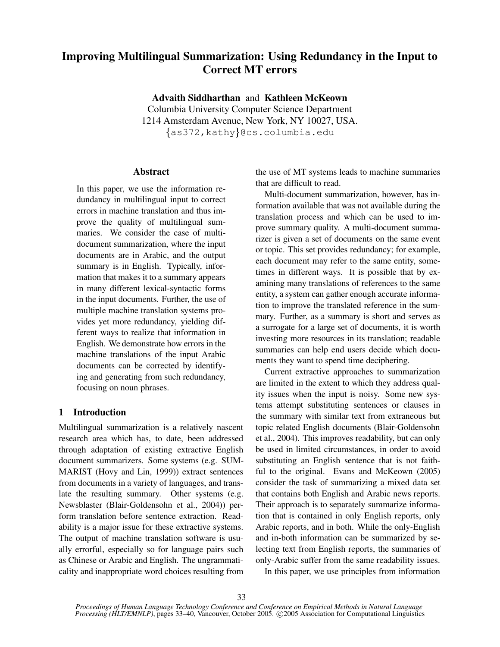# **Improving Multilingual Summarization: Using Redundancy in the Input to Correct MT errors**

**Advaith Siddharthan** and **Kathleen McKeown** Columbia University Computer Science Department

1214 Amsterdam Avenue, New York, NY 10027, USA.

 $\{ {\sf as} 372$ ,  ${\sf kathy} \}$ @cs.columbia.edu

# **Abstract**

In this paper, we use the information redundancy in multilingual input to correct errors in machine translation and thus improve the quality of multilingual summaries. We consider the case of multidocument summarization, where the input documents are in Arabic, and the output summary is in English. Typically, information that makes it to a summary appears in many different lexical-syntactic forms in the input documents. Further, the use of multiple machine translation systems provides yet more redundancy, yielding different ways to realize that information in English. We demonstrate how errors in the machine translations of the input Arabic documents can be corrected by identifying and generating from such redundancy, focusing on noun phrases.

# **1 Introduction**

Multilingual summarization is a relatively nascent research area which has, to date, been addressed through adaptation of existing extractive English document summarizers. Some systems (e.g. SUM-MARIST (Hovy and Lin, 1999)) extract sentences from documents in a variety of languages, and translate the resulting summary. Other systems (e.g. Newsblaster (Blair-Goldensohn et al., 2004)) perform translation before sentence extraction. Readability is a major issue for these extractive systems. The output of machine translation software is usually errorful, especially so for language pairs such as Chinese or Arabic and English. The ungrammaticality and inappropriate word choices resulting from the use of MT systems leads to machine summaries that are difficult to read.

Multi-document summarization, however, has information available that was not available during the translation process and which can be used to improve summary quality. A multi-document summarizer is given a set of documents on the same event or topic. This set provides redundancy; for example, each document may refer to the same entity, sometimes in different ways. It is possible that by examining many translations of references to the same entity, a system can gather enough accurate information to improve the translated reference in the summary. Further, as a summary is short and serves as a surrogate for a large set of documents, it is worth investing more resources in its translation; readable summaries can help end users decide which documents they want to spend time deciphering.

Current extractive approaches to summarization are limited in the extent to which they address quality issues when the input is noisy. Some new systems attempt substituting sentences or clauses in the summary with similar text from extraneous but topic related English documents (Blair-Goldensohn et al., 2004). This improves readability, but can only be used in limited circumstances, in order to avoid substituting an English sentence that is not faithful to the original. Evans and McKeown (2005) consider the task of summarizing a mixed data set that contains both English and Arabic news reports. Their approach is to separately summarize information that is contained in only English reports, only Arabic reports, and in both. While the only-English and in-both information can be summarized by selecting text from English reports, the summaries of only-Arabic suffer from the same readability issues.

In this paper, we use principles from information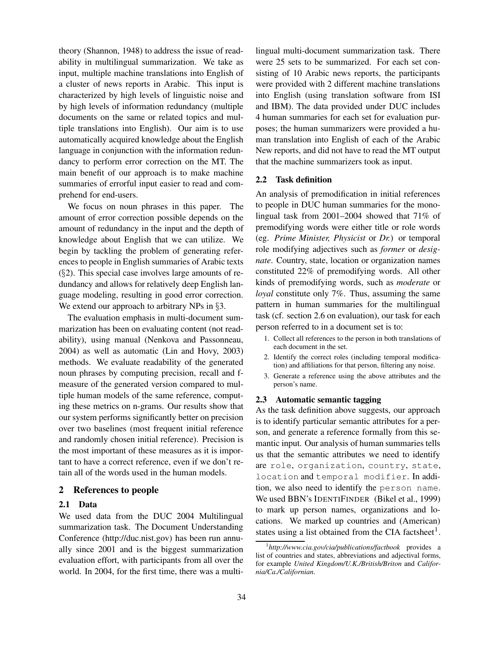theory (Shannon, 1948) to address the issue of readability in multilingual summarization. We take as input, multiple machine translations into English of a cluster of news reports in Arabic. This input is characterized by high levels of linguistic noise and by high levels of information redundancy (multiple documents on the same or related topics and multiple translations into English). Our aim is to use automatically acquired knowledge about the English language in conjunction with the information redundancy to perform error correction on the MT. The main benefit of our approach is to make machine summaries of errorful input easier to read and comprehend for end-users.

We focus on noun phrases in this paper. The amount of error correction possible depends on the amount of redundancy in the input and the depth of knowledge about English that we can utilize. We begin by tackling the problem of generating references to people in English summaries of Arabic texts  $(\S 2)$ . This special case involves large amounts of redundancy and allows for relatively deep English language modeling, resulting in good error correction. We extend our approach to arbitrary NPs in  $\S 3$ .

The evaluation emphasis in multi-document summarization has been on evaluating content (not readability), using manual (Nenkova and Passonneau, 2004) as well as automatic (Lin and Hovy, 2003) methods. We evaluate readability of the generated noun phrases by computing precision, recall and fmeasure of the generated version compared to multiple human models of the same reference, computing these metrics on n-grams. Our results show that our system performs significantly better on precision over two baselines (most frequent initial reference and randomly chosen initial reference). Precision is the most important of these measures as it is important to have a correct reference, even if we don't retain all of the words used in the human models.

## **2 References to people**

#### **2.1 Data**

We used data from the DUC 2004 Multilingual summarization task. The Document Understanding Conference (http://duc.nist.gov) has been run annually since 2001 and is the biggest summarization evaluation effort, with participants from all over the world. In 2004, for the first time, there was a multilingual multi-document summarization task. There were 25 sets to be summarized. For each set consisting of 10 Arabic news reports, the participants were provided with 2 different machine translations into English (using translation software from ISI and IBM). The data provided under DUC includes 4 human summaries for each set for evaluation purposes; the human summarizers were provided a human translation into English of each of the Arabic New reports, and did not have to read the MT output that the machine summarizers took as input.

# **2.2 Task definition**

An analysis of premodification in initial references to people in DUC human summaries for the monolingual task from 2001–2004 showed that 71% of premodifying words were either title or role words (eg. *Prime Minister, Physicist* or *Dr.*) or temporal role modifying adjectives such as *former* or *designate*. Country, state, location or organization names constituted 22% of premodifying words. All other kinds of premodifying words, such as *moderate* or *loyal* constitute only 7%. Thus, assuming the same pattern in human summaries for the multilingual task (cf. section 2.6 on evaluation), our task for each person referred to in a document set is to:

- 1. Collect all references to the person in both translations of each document in the set.
- 2. Identify the correct roles (including temporal modification) and affiliations for that person, filtering any noise.
- 3. Generate a reference using the above attributes and the person's name.

## **2.3 Automatic semantic tagging**

As the task definition above suggests, our approach is to identify particular semantic attributes for a person, and generate a reference formally from this semantic input. Our analysis of human summaries tells us that the semantic attributes we need to identify are role, organization, country, state, location and temporal modifier. In addition, we also need to identify the person name. We used BBN's IDENTIFINDER (Bikel et al., 1999) to mark up person names, organizations and locations. We marked up countries and (American) states using a list obtained from the CIA factsheet<sup>1</sup>.

<sup>1</sup> *http://www.cia.gov/cia/publications/factbook* provides a list of countries and states, abbreviations and adjectival forms, for example *United Kingdom/U.K./British/Briton* and *California/Ca./Californian*.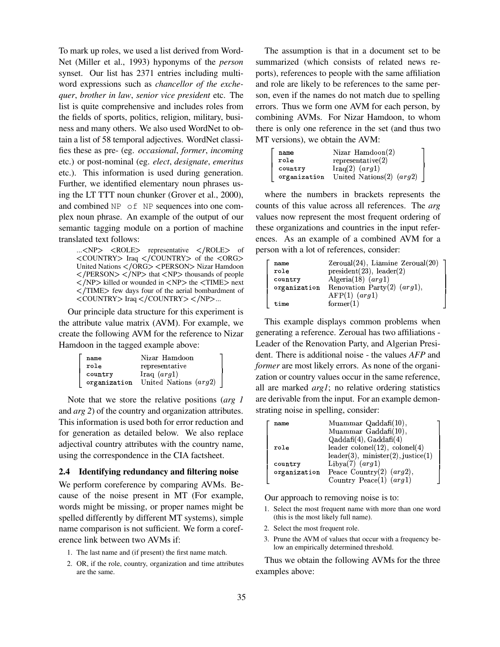To mark up roles, we used a list derived from Word-Net (Miller et al., 1993) hyponyms of the *person* synset. Our list has 2371 entries including multiword expressions such as *chancellor of the exchequer*, *brother in law*, *senior vice president* etc. The list is quite comprehensive and includes roles from the fields of sports, politics, religion, military, business and many others. We also used WordNet to obtain a list of 58 temporal adjectives. WordNet classifies these as pre- (eg. *occasional*, *former*, *incoming* etc.) or post-nominal (eg. *elect*, *designate*, *emeritus* etc.). This information is used during generation. Further, we identified elementary noun phrases using the LT TTT noun chunker (Grover et al., 2000), and combined NP of NP sequences into one complex noun phrase. An example of the output of our semantic tagging module on a portion of machine translated text follows:

... $\langle NP \rangle$   $\langle ROLE \rangle$  representative  $\langle ROLE \rangle$  of  $\langle \text{COUNTRY} \rangle$  Iraq  $\langle \text{COUNTRY} \rangle$  of the  $\langle \text{ORG} \rangle$ United Nations </ORG> <PERSON> Nizar Hamdoon  $\langle$ /PERSON $>$   $\langle$ /NP $>$  that  $\langle$ NP $>$  thousands of people  $\langle NPP \rangle$  killed or wounded in  $\langle NP \rangle$  the  $\langle TIME \rangle$  next  $\langle$ /TIME $>$  few days four of the aerial bombardment of  $\langle \text{COUNTRY} \rangle$  Iraq  $\langle \text{COUNTRY} \rangle \langle \text{NP} \rangle$ ...

Our principle data structure for this experiment is the attribute value matrix (AVM). For example, we create the following AVM for the reference to Nizar Hamdoon in the tagged example above:

| name    | Nizar Hamdoon                        |  |
|---------|--------------------------------------|--|
| role    | representative                       |  |
| country | Iraq $(arg1)$                        |  |
|         | organization United Nations $(arg2)$ |  |
|         |                                      |  |
|         |                                      |  |

Note that we store the relative positions (*arg 1* and *arg 2*) of the country and organization attributes. This information is used both for error reduction and for generation as detailed below. We also replace adjectival country attributes with the country name, using the correspondence in the CIA factsheet.

## **2.4 Identifying redundancy and filtering noise**

We perform coreference by comparing AVMs. Because of the noise present in MT (For example, words might be missing, or proper names might be spelled differently by different MT systems), simple name comparison is not sufficient. We form a coreference link between two AVMs if:

- 1. The last name and (if present) the first name match.
- 2. OR, if the role, country, organization and time attributes are the same.

The assumption is that in a document set to be summarized (which consists of related news reports), references to people with the same affiliation and role are likely to be references to the same person, even if the names do not match due to spelling errors. Thus we form one AVM for each person, by combining AVMs. For Nizar Hamdoon, to whom there is only one reference in the set (and thus two MT versions), we obtain the AVM:

| name    | Nizar $Hamdoon(2)$                      |
|---------|-----------------------------------------|
| role    | representative(2)                       |
| country | $\text{Iraq}(2)$ $(\text{arg}1)$        |
|         | organization United Nations(2) $(arg2)$ |
|         |                                         |
|         |                                         |

**Only the contract of the contract of the contract of the contract of the contract of the contract of the contract of the contract of the contract of the contract of the contract of the contract of the contract of the cont** 

where the numbers in brackets represents the counts of this value across all references. The *arg* values now represent the most frequent ordering of these organizations and countries in the input references. As an example of a combined AVM for a person with a lot of references, consider:

| name    | $\text{Zeroual}(24)$ , Liamine $\text{Zeroual}(20)$ |
|---------|-----------------------------------------------------|
| role    | president(23), leader(2)                            |
| country | Algeria(18) $(arg1)$                                |
|         | organization Renovation Party(2) $(arg1)$ ,         |
|         | $AFP(1)$ $(arg1)$                                   |
| time    | former(1)                                           |

This example displays common problems when generating a reference. Zeroual has two affiliations - Leader of the Renovation Party, and Algerian President. There is additional noise - the values *AFP* and *former* are most likely errors. As none of the organization or country values occur in the same reference, all are marked *arg1*; no relative ordering statistics are derivable from the input. For an example demonstrating noise in spelling, consider:

Our approach to removing noise is to:

- 1. Select the most frequent name with more than one word (this is the most likely full name).
- 2. Select the most frequent role.
- 3. Prune the AVM of values that occur with a frequency below an empirically determined threshold.

Thus we obtain the following AVMs for the three examples above: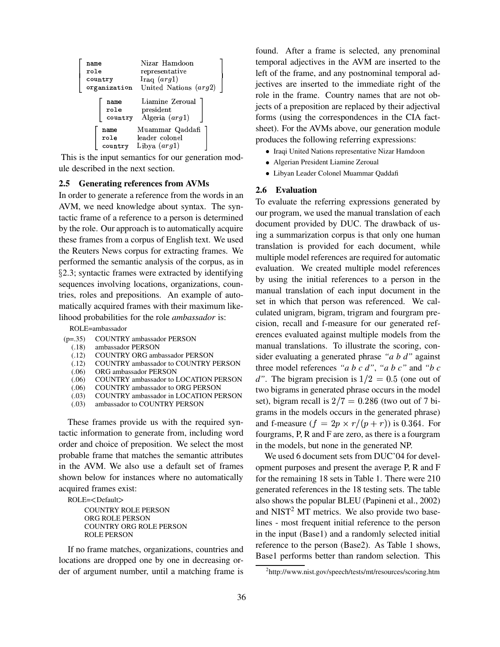| name<br>role<br>country          | Nizar Hamdoon<br>representative<br>Iraq $(arg1)$<br>organization United Nations (arg2) |
|----------------------------------|----------------------------------------------------------------------------------------|
| name<br>$_{\rm role}$<br>country | Liamine Zeroual<br>president<br>Algeria $(\arg 1)$                                     |
| name<br>role<br>country          | Muammar Qaddafi<br>leader colonel<br>Libya $(\arg l)$                                  |

 $\left[\begin{array}{cc} \text{Country} & \text{Libya} (arg1) \\ \text{This is the input semantics for our generation mod$ ule described in the next section.

## **2.5 Generating references from AVMs**

In order to generate a reference from the words in an AVM, we need knowledge about syntax. The syntactic frame of a reference to a person is determined by the role. Our approach is to automatically acquire these frames from a corpus of English text. We used the Reuters News corpus for extracting frames. We performed the semantic analysis of the corpus, as in - 2.3; syntactic frames were extracted by identifying sequences involving locations, organizations, countries, roles and prepositions. An example of automatically acquired frames with their maximum likelihood probabilities for the role *ambassador* is:

ROLE=ambassador

- (p=.35) COUNTRY ambassador PERSON
	- (.18) ambassador PERSON
	- (.12) COUNTRY ORG ambassador PERSON
	- (.12) COUNTRY ambassador to COUNTRY PERSON
	-
	- (.06) ORG ambassador PERSON (.06) COUNTRY ambassador to LOCATION PERSON
	- (.06) COUNTRY ambassador to ORG PERSON
	- (.03) COUNTRY ambassador in LOCATION PERSON
	- (.03) ambassador to COUNTRY PERSON

These frames provide us with the required syntactic information to generate from, including word order and choice of preposition. We select the most probable frame that matches the semantic attributes in the AVM. We also use a default set of frames shown below for instances where no automatically acquired frames exist:

ROLE=<Default>

COUNTRY ROLE PERSON ORG ROLE PERSON COUNTRY ORG ROLE PERSON ROLE PERSON

If no frame matches, organizations, countries and locations are dropped one by one in decreasing order of argument number, until a matching frame is found. After a frame is selected, any prenominal temporal adjectives in the AVM are inserted to the left of the frame, and any postnominal temporal adjectives are inserted to the immediate right of the role in the frame. Country names that are not objects of a preposition are replaced by their adjectival forms (using the correspondences in the CIA factsheet). For the AVMs above, our generation module produces the following referring expressions:

- Iraqi United Nations representative Nizar Hamdoon
- Algerian President Liamine Zeroual
- Libyan Leader Colonel Muammar Qaddafi

#### **2.6 Evaluation**

To evaluate the referring expressions generated by our program, we used the manual translation of each document provided by DUC. The drawback of using a summarization corpus is that only one human translation is provided for each document, while multiple model references are required for automatic evaluation. We created multiple model references by using the initial references to a person in the manual translation of each input document in the set in which that person was referenced. We calculated unigram, bigram, trigram and fourgram precision, recall and f-measure for our generated references evaluated against multiple models from the manual translations. To illustrate the scoring, consider evaluating a generated phrase *"a b d"* against three model references "a  $b \, c \, d$ ", "a  $b \, c$ " and " $b \, c$ d". The bigram precision is  $1/2 = 0.5$  (one out of two bigrams in generated phrase occurs in the model set), bigram recall is  $2/7 = 0.286$  (two out of 7 bigrams in the models occurs in the generated phrase) and f-measure  $(f = 2p \times r/(p+r))$  is 0.364. For fourgrams, P, R and F are zero, as there is a fourgram in the models, but none in the generated NP.

We used 6 document sets from DUC'04 for development purposes and present the average P, R and F for the remaining 18 sets in Table 1. There were 210 generated references in the 18 testing sets. The table also shows the popular BLEU (Papineni et al., 2002) and  $NIST<sup>2</sup> MT$  metrics. We also provide two baselines - most frequent initial reference to the person in the input (Base1) and a randomly selected initial reference to the person (Base2). As Table 1 shows, Base1 performs better than random selection. This

<sup>&</sup>lt;sup>2</sup>http://www.nist.gov/speech/tests/mt/resources/scoring.htm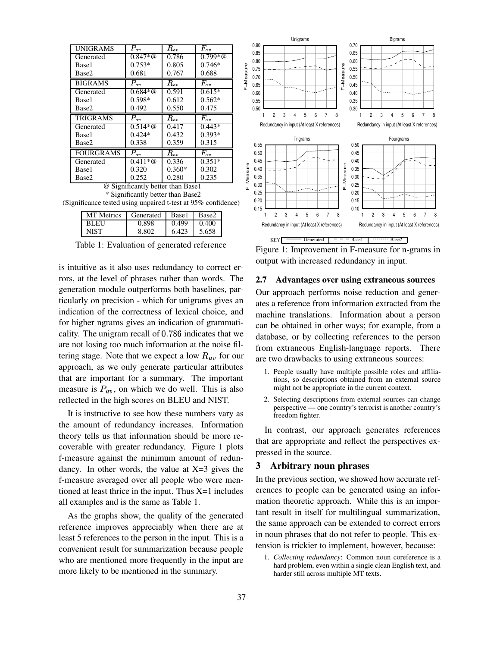| $\overline{P}_{av}$               | $R_{\it av}$ | $\overline{F}_{av}$               |  |  |  |  |  |
|-----------------------------------|--------------|-----------------------------------|--|--|--|--|--|
| $0.847 * @$                       | 0.786        | $0.799*@$                         |  |  |  |  |  |
| $0.753*$                          | 0.805        | $0.746*$                          |  |  |  |  |  |
| 0.681                             | 0.767        | 0.688                             |  |  |  |  |  |
| $\overline{P}_{av}$               | $R_{av}$     | $\overline{F}_{av}$               |  |  |  |  |  |
| $0.684 * @$                       | 0.591        | $0.615*$                          |  |  |  |  |  |
| 0.598*                            | 0.612        | $0.562*$                          |  |  |  |  |  |
| 0.492                             | 0.550        | 0.475                             |  |  |  |  |  |
| $P_{av}$                          | $R_{av}$     | $\overline{F}_{av}$               |  |  |  |  |  |
| $0.514 * @$                       | 0.417        | $0.443*$                          |  |  |  |  |  |
| $0.424*$                          | 0.432        | $0.393*$                          |  |  |  |  |  |
| 0.338                             | 0.359        | 0.315                             |  |  |  |  |  |
| $P_{av}$                          | $R_{av}$     | $\overline{F}_{av}$               |  |  |  |  |  |
| $0.411 * \omega$                  | 0.336        | $0.351*$                          |  |  |  |  |  |
| 0.320                             | $0.360*$     | 0.302                             |  |  |  |  |  |
| 0.252                             | 0.280        | 0.235                             |  |  |  |  |  |
| @ Significantly better than Base1 |              |                                   |  |  |  |  |  |
|                                   |              | * Significantly better than Base2 |  |  |  |  |  |

(Significance tested using unpaired t-test at 95% confidence)

| <b>MT</b> Metrics | Generated | Base1 | Base2 |
|-------------------|-----------|-------|-------|
| RLEU              |           | 0.499 | 40O   |
|                   | -802      | 6.423 | 5.658 |

Table 1: Evaluation of generated reference

is intuitive as it also uses redundancy to correct errors, at the level of phrases rather than words. The generation module outperforms both baselines, particularly on precision - which for unigrams gives an indication of the correctness of lexical choice, and for higher ngrams gives an indication of grammaticality. The unigram recall of  $0.786$  indicates that we are not losing too much information at the noise filtering stage. Note that we expect a low  $R_{av}$  for our approach, as we only generate particular attributes that are important for a summary. The important measure is  $P_{av}$ , on which we do well. This is also reflected in the high scores on BLEU and NIST.

It is instructive to see how these numbers vary as the amount of redundancy increases. Information theory tells us that information should be more recoverable with greater redundancy. Figure 1 plots f-measure against the minimum amount of redundancy. In other words, the value at  $X=3$  gives the f-measure averaged over all people who were mentioned at least thrice in the input. Thus X=1 includes all examples and is the same as Table 1.

As the graphs show, the quality of the generated reference improves appreciably when there are at least 5 references to the person in the input. This is a convenient result for summarization because people who are mentioned more frequently in the input are more likely to be mentioned in the summary.



Figure 1: Improvement in F-measure for n-grams in output with increased redundancy in input.

#### **2.7 Advantages over using extraneous sources**

Our approach performs noise reduction and generates a reference from information extracted from the machine translations. Information about a person can be obtained in other ways; for example, from a database, or by collecting references to the person from extraneous English-language reports. There are two drawbacks to using extraneous sources:

- 1. People usually have multiple possible roles and affiliations, so descriptions obtained from an external source might not be appropriate in the current context.
- 2. Selecting descriptions from external sources can change perspective — one country's terrorist is another country's freedom fighter.

In contrast, our approach generates references that are appropriate and reflect the perspectives expressed in the source.

#### **3 Arbitrary noun phrases**

In the previous section, we showed how accurate references to people can be generated using an information theoretic approach. While this is an important result in itself for multilingual summarization, the same approach can be extended to correct errors in noun phrases that do not refer to people. This extension is trickier to implement, however, because:

1. *Collecting redundancy*: Common noun coreference is a hard problem, even within a single clean English text, and harder still across multiple MT texts.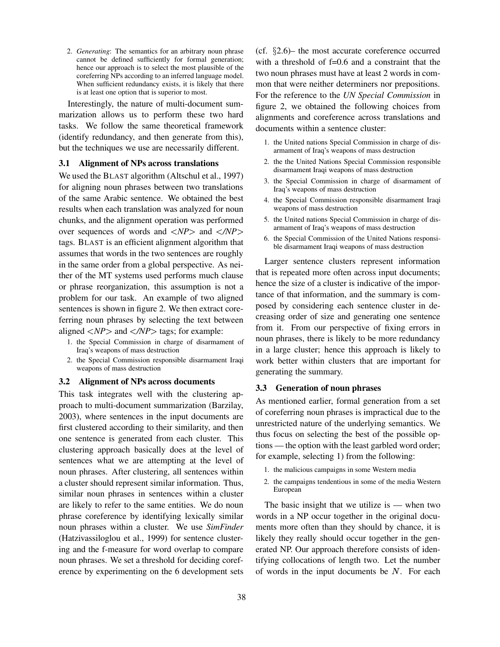2. *Generating*: The semantics for an arbitrary noun phrase cannot be defined sufficiently for formal generation; hence our approach is to select the most plausible of the coreferring NPs according to an inferred language model. When sufficient redundancy exists, it is likely that there is at least one option that is superior to most.

Interestingly, the nature of multi-document summarization allows us to perform these two hard tasks. We follow the same theoretical framework (identify redundancy, and then generate from this), but the techniques we use are necessarily different.

## **3.1 Alignment of NPs across translations**

We used the BLAST algorithm (Altschul et al., 1997) for aligning noun phrases between two translations of the same Arabic sentence. We obtained the best results when each translation was analyzed for noun chunks, and the alignment operation was performed over sequences of words and  $\langle NP \rangle$  and  $\langle NP \rangle$ tags. BLAST is an efficient alignment algorithm that assumes that words in the two sentences are roughly in the same order from a global perspective. As neither of the MT systems used performs much clause or phrase reorganization, this assumption is not a problem for our task. An example of two aligned sentences is shown in figure 2. We then extract coreferring noun phrases by selecting the text between aligned  $\langle NP \rangle$  and  $\langle NP \rangle$  tags; for example:

- 1. the Special Commission in charge of disarmament of Iraq's weapons of mass destruction
- 2. the Special Commission responsible disarmament Iraqi weapons of mass destruction

## **3.2 Alignment of NPs across documents**

This task integrates well with the clustering approach to multi-document summarization (Barzilay, 2003), where sentences in the input documents are first clustered according to their similarity, and then one sentence is generated from each cluster. This clustering approach basically does at the level of sentences what we are attempting at the level of noun phrases. After clustering, all sentences within a cluster should represent similar information. Thus, similar noun phrases in sentences within a cluster are likely to refer to the same entities. We do noun phrase coreference by identifying lexically similar noun phrases within a cluster. We use *SimFinder* (Hatzivassiloglou et al., 1999) for sentence clustering and the f-measure for word overlap to compare noun phrases. We set a threshold for deciding coreference by experimenting on the 6 development sets

(cf.  $\S2.6$ )– the most accurate coreference occurred with a threshold of f=0.6 and a constraint that the two noun phrases must have at least 2 words in common that were neither determiners nor prepositions. For the reference to the *UN Special Commission* in figure 2, we obtained the following choices from alignments and coreference across translations and documents within a sentence cluster:

- 1. the United nations Special Commission in charge of disarmament of Iraq's weapons of mass destruction
- 2. the the United Nations Special Commission responsible disarmament Iraqi weapons of mass destruction
- 3. the Special Commission in charge of disarmament of Iraq's weapons of mass destruction
- 4. the Special Commission responsible disarmament Iraqi weapons of mass destruction
- 5. the United nations Special Commission in charge of disarmament of Iraq's weapons of mass destruction
- 6. the Special Commission of the United Nations responsible disarmament Iraqi weapons of mass destruction

Larger sentence clusters represent information that is repeated more often across input documents; hence the size of a cluster is indicative of the importance of that information, and the summary is composed by considering each sentence cluster in decreasing order of size and generating one sentence from it. From our perspective of fixing errors in noun phrases, there is likely to be more redundancy in a large cluster; hence this approach is likely to work better within clusters that are important for generating the summary.

#### **3.3 Generation of noun phrases**

As mentioned earlier, formal generation from a set of coreferring noun phrases is impractical due to the unrestricted nature of the underlying semantics. We thus focus on selecting the best of the possible options — the option with the least garbled word order; for example, selecting 1) from the following:

- 1. the malicious campaigns in some Western media
- 2. the campaigns tendentious in some of the media Western European

The basic insight that we utilize is  $-$  when two words in a NP occur together in the original documents more often than they should by chance, it is likely they really should occur together in the generated NP. Our approach therefore consists of identifying collocations of length two. Let the number of words in the input documents be  $N$ . For each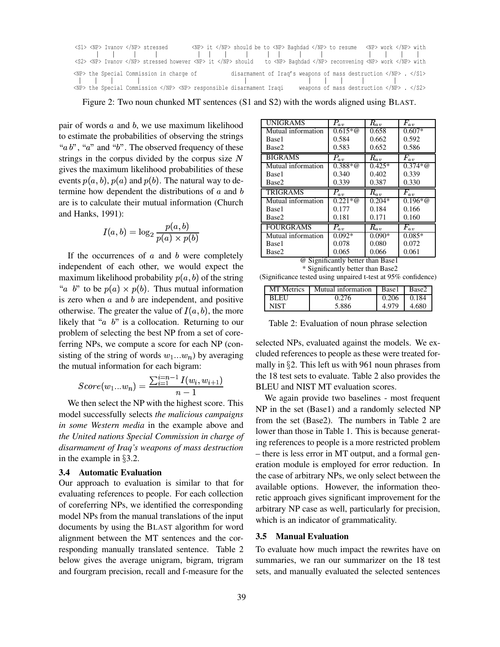|  |  | <s1> <np> Ivanov </np> stressed</s1> |                                               |  | <np> it </np> should be to <np> Baghdad </np> to resume <np> work </np> with                                             |  |  |                                                                         |  |  |
|--|--|--------------------------------------|-----------------------------------------------|--|--------------------------------------------------------------------------------------------------------------------------|--|--|-------------------------------------------------------------------------|--|--|
|  |  |                                      |                                               |  |                                                                                                                          |  |  |                                                                         |  |  |
|  |  |                                      |                                               |  | <s2> <np> Ivanov </np> stressed however <np> it </np> should to <np> Baghdad </np> reconvening <np> work </np> with</s2> |  |  |                                                                         |  |  |
|  |  |                                      | <np> the Special Commission in charge of</np> |  | disarmament of Iraq's weapons of mass destruction $\langle NP \rangle$ . $\langle 51 \rangle$                            |  |  |                                                                         |  |  |
|  |  |                                      |                                               |  |                                                                                                                          |  |  |                                                                         |  |  |
|  |  |                                      |                                               |  | <np> the Special Commission </np> <np> responsible disarmament Iraqi</np>                                                |  |  | weapons of mass destruction $\langle NP \rangle$ . $\langle S2 \rangle$ |  |  |

Figure 2: Two noun chunked MT sentences (S1 and S2) with the words aligned using BLAST.

pair of words  $a$  and  $b$ , we use maximum likelihood to estimate the probabilities of observing the strings " $a b$ ", " $a$ " and " $b$ ". The observed frequency of these strings in the corpus divided by the corpus size  $N$ gives the maximum likelihood probabilities of these events  $p(a, b)$ ,  $p(a)$  and  $p(b)$ . The natural way to determine how dependent the distributions of  $a$  and  $b$ are is to calculate their mutual information (Church and Hanks,  $1991$ :

$$
I(a,b)=\log_2\frac{p(a,b)}{p(a)\times p(b)}
$$

If the occurrences of  $a$  and  $b$  were completely independent of each other, we would expect the maximum likelihood probability  $p(a, b)$  of the string "a b" to be  $p(a) \times p(b)$ . Thus mutual information is zero when  $a$  and  $b$  are independent, and positive is zero when *a* and *b* are independent, and positive otherwise. The greater the value of  $I(a, b)$ , the more likely that " $a \, b$ " is a collocation. Returning to our problem of selecting the best NP from a set of coreferring NPs, we compute a score for each NP (consisting of the string of words  $w_1...w_n$ ) by averaging

the mutual information for each bigram:  
\n
$$
Score(w_1...w_n) = \frac{\sum_{i=1}^{i=n-1} I(w_i, w_{i+1})}{n-1}
$$

We then select the NP with the highest score. This model successfully selects *the malicious campaigns in some Western media* in the example above and *the United nations Special Commission in charge of disarmament of Iraq's weapons of mass destruction* in the example in  $\S 3.2$ .

## **3.4 Automatic Evaluation**

Our approach to evaluation is similar to that for evaluating references to people. For each collection of coreferring NPs, we identified the corresponding model NPs from the manual translations of the input documents by using the BLAST algorithm for word alignment between the MT sentences and the corresponding manually translated sentence. Table 2 below gives the average unigram, bigram, trigram and fourgram precision, recall and f-measure for the

| <b>UNIGRAMS</b>    | $P_{av}$         | $R_{av}$            | $\overline{F}_{a\,v}$ |
|--------------------|------------------|---------------------|-----------------------|
| Mutual information | $0.615 * \omega$ | 0.658               | $0.607*$              |
| Base1              | 0.584            | 0.662               | 0.592                 |
| Base2              | 0.583            | 0.652               | 0.586                 |
| <b>BIGRAMS</b>     | $P_{av}$         | $R_{av}$            | $F_{av}$              |
| Mutual information | $0.388 * \omega$ | $0.425*$            | $0.374 * \omega$      |
| Base1              | 0.340            | 0.402               | 0.339                 |
| Base2              | 0.339            | 0.387               | 0.330                 |
|                    |                  |                     |                       |
| <b>TRIGRAMS</b>    | $\bar P_{a\,v}$  | $\overline{R}_{av}$ | $\overline{F}_{av}$   |
| Mutual information | $0.221 * \omega$ | $0.204*$            | $\overline{0.196}$ *@ |
| Base1              | 0.177            | 0.184               | 0.166                 |
| Base2              | 0.181            | 0.171               | 0.160                 |
| <b>FOURGRAMS</b>   | $P_{av}$         | $R_{av}$            | $\overline{F}_{av}$   |
| Mutual information | $0.092*$         | $0.090*$            | $0.085*$              |
| Base1              | 0.078            | 0.080               | 0.072                 |

@ Significantly better than Base1 \* Significantly better than Base2

(Significance tested using unpaired t-test at 95% confidence)

| <b>MT</b> Metrics | Mutual information | Base1 | Base2 |
|-------------------|--------------------|-------|-------|
| <b>BLEU</b>       | 0.276              | 0.206 | 0.184 |
| NIST              | 5.886              | 4.979 | 4.680 |

Table 2: Evaluation of noun phrase selection

selected NPs, evaluated against the models. We excluded references to people as these were treated formally in  $\S 2$ . This left us with 961 noun phrases from the 18 test sets to evaluate. Table 2 also provides the BLEU and NIST MT evaluation scores.

We again provide two baselines - most frequent NP in the set (Base1) and a randomly selected NP from the set (Base2). The numbers in Table 2 are lower than those in Table 1. This is because generating references to people is a more restricted problem – there is less error in MT output, and a formal generation module is employed for error reduction. In the case of arbitrary NPs, we only select between the available options. However, the information theoretic approach gives significant improvement for the arbitrary NP case as well, particularly for precision, which is an indicator of grammaticality.

#### **3.5 Manual Evaluation**

To evaluate how much impact the rewrites have on summaries, we ran our summarizer on the 18 test sets, and manually evaluated the selected sentences